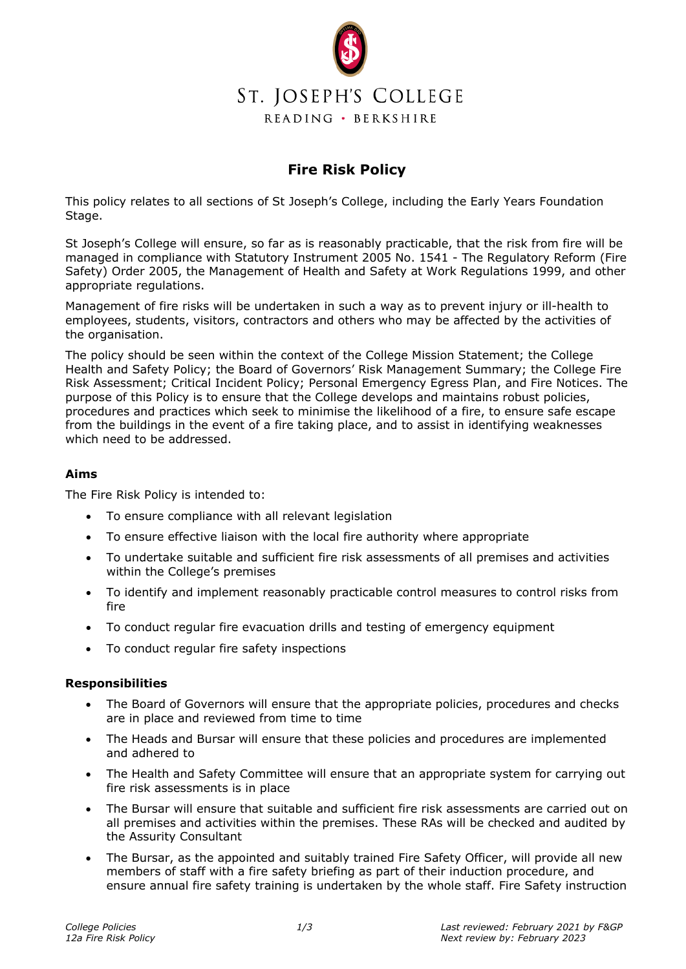

## **Fire Risk Policy**

This policy relates to all sections of St Joseph's College, including the Early Years Foundation Stage.

St Joseph's College will ensure, so far as is reasonably practicable, that the risk from fire will be managed in compliance with Statutory Instrument 2005 No. 1541 - The Regulatory Reform (Fire Safety) Order 2005, the Management of Health and Safety at Work Regulations 1999, and other appropriate regulations.

Management of fire risks will be undertaken in such a way as to prevent injury or ill-health to employees, students, visitors, contractors and others who may be affected by the activities of the organisation.

The policy should be seen within the context of the College Mission Statement; the College Health and Safety Policy; the Board of Governors' Risk Management Summary; the College Fire Risk Assessment; Critical Incident Policy; Personal Emergency Egress Plan, and Fire Notices. The purpose of this Policy is to ensure that the College develops and maintains robust policies, procedures and practices which seek to minimise the likelihood of a fire, to ensure safe escape from the buildings in the event of a fire taking place, and to assist in identifying weaknesses which need to be addressed.

## **Aims**

The Fire Risk Policy is intended to:

- To ensure compliance with all relevant legislation
- To ensure effective liaison with the local fire authority where appropriate
- To undertake suitable and sufficient fire risk assessments of all premises and activities within the College's premises
- To identify and implement reasonably practicable control measures to control risks from fire
- To conduct regular fire evacuation drills and testing of emergency equipment
- To conduct regular fire safety inspections

## **Responsibilities**

- The Board of Governors will ensure that the appropriate policies, procedures and checks are in place and reviewed from time to time
- The Heads and Bursar will ensure that these policies and procedures are implemented and adhered to
- The Health and Safety Committee will ensure that an appropriate system for carrying out fire risk assessments is in place
- The Bursar will ensure that suitable and sufficient fire risk assessments are carried out on all premises and activities within the premises. These RAs will be checked and audited by the Assurity Consultant
- The Bursar, as the appointed and suitably trained Fire Safety Officer, will provide all new members of staff with a fire safety briefing as part of their induction procedure, and ensure annual fire safety training is undertaken by the whole staff. Fire Safety instruction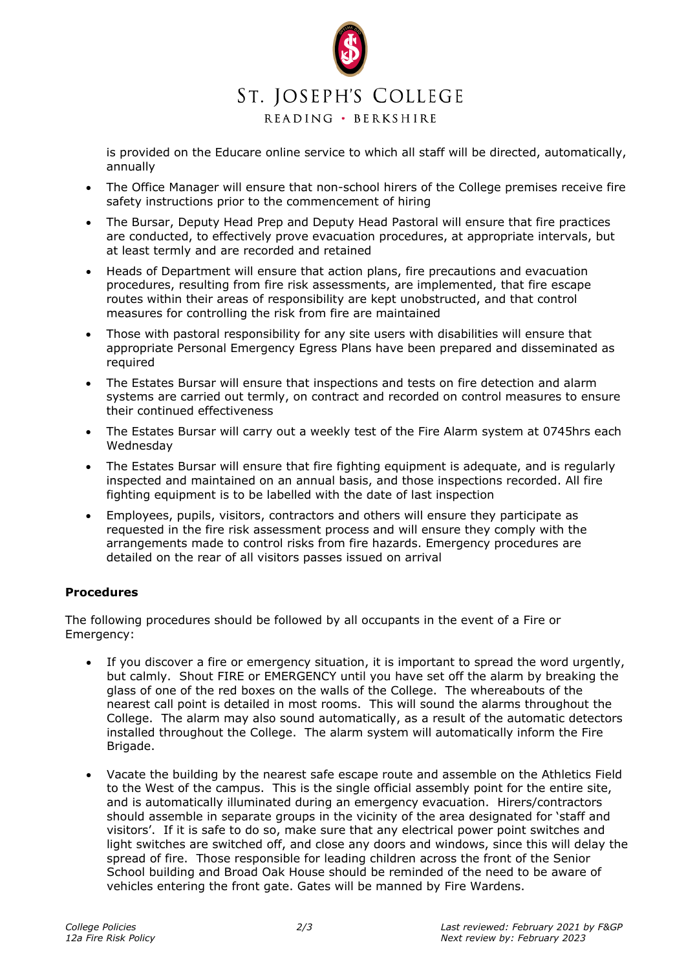

is provided on the Educare online service to which all staff will be directed, automatically, annually

- The Office Manager will ensure that non-school hirers of the College premises receive fire safety instructions prior to the commencement of hiring
- The Bursar, Deputy Head Prep and Deputy Head Pastoral will ensure that fire practices are conducted, to effectively prove evacuation procedures, at appropriate intervals, but at least termly and are recorded and retained
- Heads of Department will ensure that action plans, fire precautions and evacuation procedures, resulting from fire risk assessments, are implemented, that fire escape routes within their areas of responsibility are kept unobstructed, and that control measures for controlling the risk from fire are maintained
- Those with pastoral responsibility for any site users with disabilities will ensure that appropriate Personal Emergency Egress Plans have been prepared and disseminated as required
- The Estates Bursar will ensure that inspections and tests on fire detection and alarm systems are carried out termly, on contract and recorded on control measures to ensure their continued effectiveness
- The Estates Bursar will carry out a weekly test of the Fire Alarm system at 0745hrs each Wednesday
- The Estates Bursar will ensure that fire fighting equipment is adequate, and is regularly inspected and maintained on an annual basis, and those inspections recorded. All fire fighting equipment is to be labelled with the date of last inspection
- Employees, pupils, visitors, contractors and others will ensure they participate as requested in the fire risk assessment process and will ensure they comply with the arrangements made to control risks from fire hazards. Emergency procedures are detailed on the rear of all visitors passes issued on arrival

## **Procedures**

The following procedures should be followed by all occupants in the event of a Fire or Emergency:

- If you discover a fire or emergency situation, it is important to spread the word urgently, but calmly. Shout FIRE or EMERGENCY until you have set off the alarm by breaking the glass of one of the red boxes on the walls of the College. The whereabouts of the nearest call point is detailed in most rooms. This will sound the alarms throughout the College. The alarm may also sound automatically, as a result of the automatic detectors installed throughout the College. The alarm system will automatically inform the Fire Brigade.
- Vacate the building by the nearest safe escape route and assemble on the Athletics Field to the West of the campus. This is the single official assembly point for the entire site, and is automatically illuminated during an emergency evacuation. Hirers/contractors should assemble in separate groups in the vicinity of the area designated for 'staff and visitors'. If it is safe to do so, make sure that any electrical power point switches and light switches are switched off, and close any doors and windows, since this will delay the spread of fire. Those responsible for leading children across the front of the Senior School building and Broad Oak House should be reminded of the need to be aware of vehicles entering the front gate. Gates will be manned by Fire Wardens.